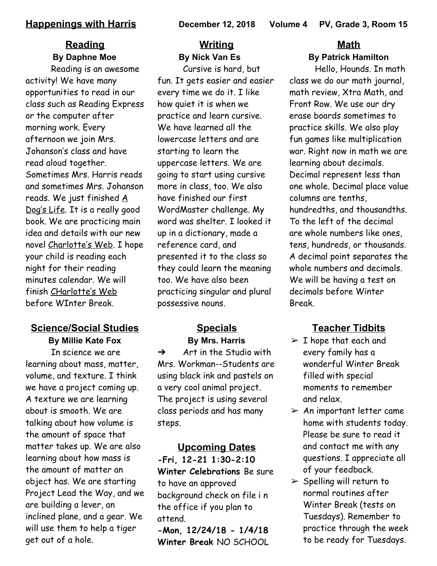# **Reading By Daphne Moe**

Reading is an awesome activity! We have many opportunities to read in our class such as Reading Express or the computer after morning work. Every afternoon we join Mrs. Johanson's class and have read aloud together. Sometimes Mrs. Harris reads and sometimes Mrs. Johanson reads. We just finished A Dog's Life. It is a really good book. We are practicing main idea and details with our new novel Charlotte's Web. I hope your child is reading each night for their reading minutes calendar. We will finish CHarlotte's Web before WInter Break.

# **Science/Social Studies**

**By Millie Kate Fox**

In science we are learning about mass, matter, volume, and texture. I think we have a project coming up. A texture we are learning about is smooth. We are talking about how volume is the amount of space that matter takes up. We are also learning about how mass is the amount of matter an object has. We are starting Project Lead the Way, and we are building a lever, an inclined plane, and a gear. We will use them to help a tiger get out of a hole.

# **Writing By Nick Van Es**

Cursive is hard, but fun. It gets easier and easier every time we do it. I like how quiet it is when we practice and learn cursive. We have learned all the lowercase letters and are starting to learn the uppercase letters. We are going to start using cursive more in class, too. We also have finished our first WordMaster challenge. My word was shelter. I looked it up in a dictionary, made a reference card, and presented it to the class so they could learn the meaning too. We have also been practicing singular and plural possessive nouns.

### **Specials By Mrs. Harris**

 $\rightarrow$  Art in the Studio with Mrs. Workman--Students are using black ink and pastels on a very cool animal project. The project is using several class periods and has many steps.

**Upcoming Dates -Fri, 12-21 1:30-2:10 Winter Celebrations** Be sure to have an approved background check on file i n the office if you plan to attend.

**-Mon, 12/24/18 - 1/4/18 Winter Break** NO SCHOOL

# **Math By Patrick Hamilton**

Hello, Hounds. In math class we do our math journal, math review, Xtra Math, and Front Row. We use our dry erase boards sometimes to practice skills. We also play fun games like multiplication war. Right now in math we are learning about decimals. Decimal represent less than one whole. Decimal place value columns are tenths, hundredths, and thousandths. To the left of the decimal are whole numbers like ones, tens, hundreds, or thousands. A decimal point separates the whole numbers and decimals. We will be having a test on decimals before Winter Break.

# **Teacher Tidbits**

- $\triangleright$  I hope that each and every family has a wonderful Winter Break filled with special moments to remember and relax.
- $\triangleright$  An important letter came home with students today. Please be sure to read it and contact me with any questions. I appreciate all of your feedback.
- $\triangleright$  Spelling will return to normal routines after Winter Break (tests on Tuesdays). Remember to practice through the week to be ready for Tuesdays.